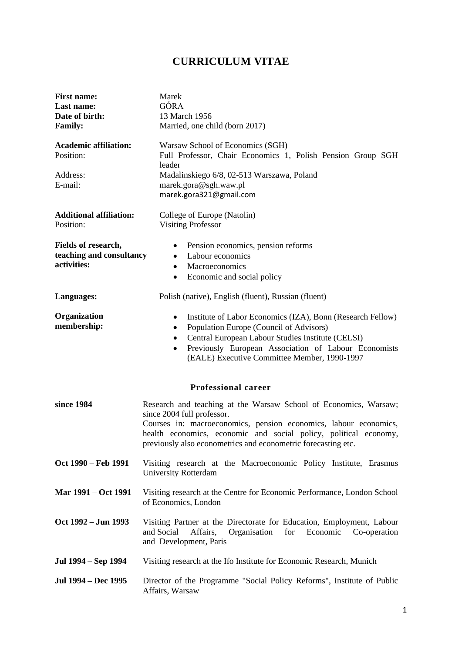## **CURRICULUM VITAE**

| <b>First name:</b><br>Last name:<br>Date of birth:<br><b>Family:</b> | Marek<br>GÓRA<br>13 March 1956<br>Married, one child (born 2017)                                                                                                                                                                                                                                                                             |
|----------------------------------------------------------------------|----------------------------------------------------------------------------------------------------------------------------------------------------------------------------------------------------------------------------------------------------------------------------------------------------------------------------------------------|
| <b>Academic affiliation:</b><br>Position:<br>Address:<br>E-mail:     | Warsaw School of Economics (SGH)<br>Full Professor, Chair Economics 1, Polish Pension Group SGH<br>leader<br>Madalinskiego 6/8, 02-513 Warszawa, Poland<br>marek.gora@sgh.waw.pl<br>marek.gora321@gmail.com                                                                                                                                  |
| <b>Additional affiliation:</b><br>Position:                          | College of Europe (Natolin)<br><b>Visiting Professor</b>                                                                                                                                                                                                                                                                                     |
| Fields of research,<br>teaching and consultancy<br>activities:       | Pension economics, pension reforms<br>$\bullet$<br>Labour economics<br>$\bullet$<br>Macroeconomics<br>$\bullet$<br>Economic and social policy<br>$\bullet$                                                                                                                                                                                   |
| Languages:                                                           | Polish (native), English (fluent), Russian (fluent)                                                                                                                                                                                                                                                                                          |
| Organization<br>membership:                                          | Institute of Labor Economics (IZA), Bonn (Research Fellow)<br>$\bullet$<br>Population Europe (Council of Advisors)<br>$\bullet$<br>Central European Labour Studies Institute (CELSI)<br>٠<br>Previously European Association of Labour Economists<br>$\bullet$<br>(EALE) Executive Committee Member, 1990-1997<br><b>Professional career</b> |
| since 1984                                                           | Research and teaching at the Warsaw School of Economics, Warsaw;<br>since 2004 full professor.<br>Courses in: macroeconomics, pension economics, labour economics,<br>health economics, economic and social policy, political economy,<br>previously also econometrics and econometric forecasting etc.                                      |
| Oct 1990 - Feb 1991                                                  | Visiting research at the Macroeconomic Policy Institute, Erasmus<br><b>University Rotterdam</b>                                                                                                                                                                                                                                              |
| Mar 1991 – Oct 1991                                                  | Visiting research at the Centre for Economic Performance, London School<br>of Economics, London                                                                                                                                                                                                                                              |
| Oct 1992 – Jun 1993                                                  | Visiting Partner at the Directorate for Education, Employment, Labour<br>Organisation<br>and Social<br>Affairs,<br>for<br>Economic<br>Co-operation<br>and Development, Paris                                                                                                                                                                 |
| Jul 1994 – Sep 1994                                                  | Visiting research at the Ifo Institute for Economic Research, Munich                                                                                                                                                                                                                                                                         |
| Jul 1994 – Dec 1995                                                  | Director of the Programme "Social Policy Reforms", Institute of Public<br>Affairs, Warsaw                                                                                                                                                                                                                                                    |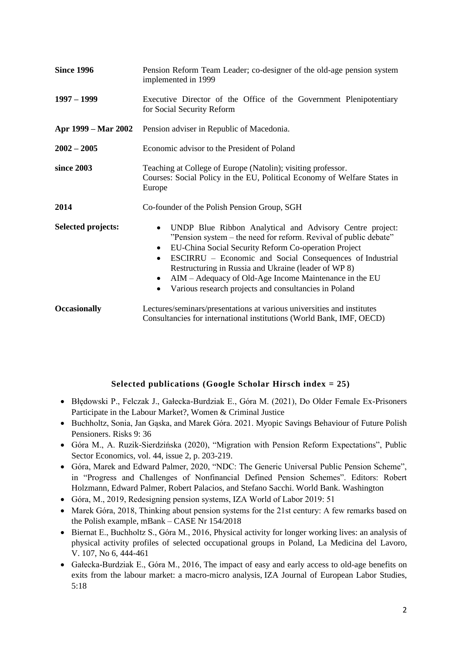| <b>Since 1996</b>         | Pension Reform Team Leader; co-designer of the old-age pension system<br>implemented in 1999                                                                                                                                                                                                                                                                                                                                                                                         |
|---------------------------|--------------------------------------------------------------------------------------------------------------------------------------------------------------------------------------------------------------------------------------------------------------------------------------------------------------------------------------------------------------------------------------------------------------------------------------------------------------------------------------|
| $1997 - 1999$             | Executive Director of the Office of the Government Plenipotentiary<br>for Social Security Reform                                                                                                                                                                                                                                                                                                                                                                                     |
| Apr 1999 – Mar 2002       | Pension adviser in Republic of Macedonia.                                                                                                                                                                                                                                                                                                                                                                                                                                            |
| $2002 - 2005$             | Economic advisor to the President of Poland                                                                                                                                                                                                                                                                                                                                                                                                                                          |
| since 2003                | Teaching at College of Europe (Natolin); visiting professor.<br>Courses: Social Policy in the EU, Political Economy of Welfare States in<br>Europe                                                                                                                                                                                                                                                                                                                                   |
| 2014                      | Co-founder of the Polish Pension Group, SGH                                                                                                                                                                                                                                                                                                                                                                                                                                          |
| <b>Selected projects:</b> | UNDP Blue Ribbon Analytical and Advisory Centre project:<br>$\bullet$<br>"Pension system – the need for reform. Revival of public debate"<br>EU-China Social Security Reform Co-operation Project<br>$\bullet$<br>ESCIRRU – Economic and Social Consequences of Industrial<br>$\bullet$<br>Restructuring in Russia and Ukraine (leader of WP 8)<br>AIM – Adequacy of Old-Age Income Maintenance in the EU<br>٠<br>Various research projects and consultancies in Poland<br>$\bullet$ |
| <b>Occasionally</b>       | Lectures/seminars/presentations at various universities and institutes<br>Consultancies for international institutions (World Bank, IMF, OECD)                                                                                                                                                                                                                                                                                                                                       |

## **Selected publications (Google Scholar Hirsch index = 25)**

- Błędowski P., Felczak J., Gałecka-Burdziak E., Góra M. (2021), Do Older Female Ex-Prisoners Participate in the Labour Market?, Women & Criminal Justice
- Buchholtz, Sonia, Jan Gąska, and Marek Góra. 2021. Myopic Savings Behaviour of Future Polish Pensioners. Risks 9: 36
- Góra M., A. Ruzik-Sierdzińska (2020), "Migration with Pension Reform Expectations", Public Sector Economics, vol. 44, issue 2, p. 203-219.
- Góra, Marek and Edward Palmer, 2020, "NDC: The Generic Universal Public Pension Scheme", in "Progress and Challenges of Nonfinancial Defined Pension Schemes". Editors: Robert Holzmann, Edward Palmer, Robert Palacios, and Stefano Sacchi. World Bank. Washington
- Góra, M., 2019, Redesigning pension systems, IZA World of Labor 2019: 51
- Marek Góra, 2018, Thinking about pension systems for the 21st century: A few remarks based on the Polish example, mBank – CASE Nr 154/2018
- Biernat E., Buchholtz S., Góra M., 2016, [Physical activity for longer working lives: an analysis of](http://www.mattioli1885journals.com/index.php/lamedicinadellavoro/article/view/5391)  [physical activity profiles of selected occupational groups in Poland,](http://www.mattioli1885journals.com/index.php/lamedicinadellavoro/article/view/5391) La Medicina del Lavoro, V. 107, No 6, 444-461
- Gałecka-Burdziak E., Góra M., 2016, [The impact of easy and early access to old-age benefits on](http://rdcu.be/m3m0)  [exits from the labour market: a macro-micro analysis,](http://rdcu.be/m3m0) IZA Journal of European Labor Studies, 5:18